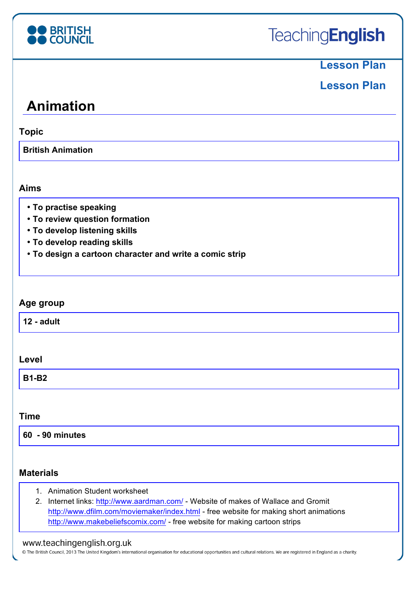

## **Lesson Plan**

# **Lesson Plan**

# **Animation**

**Topic**

**British Animation**

### **Aims**

- **To practise speaking**
- **To review question formation**
- **To develop listening skills**
- **To develop reading skills**
- **To design a cartoon character and write a comic strip**

### **Age group**

| $12 - adult$ |
|--------------|
|--------------|

#### **Level**

| <b>B1-B2</b> |
|--------------|
|--------------|

### **Time**

**60 - 90 minutes**

### **Materials**

- 1. Animation Student worksheet
- 2. Internet links: http://www.aardman.com/ Website of makes of Wallace and Gromit http://www.dfilm.com/moviemaker/index.html - free website for making short animations http://www.makebeliefscomix.com/ - free website for making cartoon strips

### www.teachingenglish.org.uk

© The British Council, 2013 The United Kingdom's international organisation for educational opportunities and cultural relations. We are registered in England as a charity.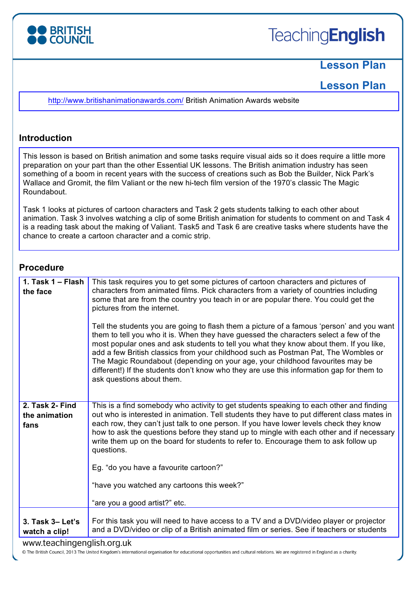

# **Lesson Plan**

**Lesson Plan** 

http://www.britishanimationawards.com/ British Animation Awards website

#### **Introduction**

This lesson is based on British animation and some tasks require visual aids so it does require a little more preparation on your part than the other Essential UK lessons. The British animation industry has seen something of a boom in recent years with the success of creations such as Bob the Builder, Nick Park's Wallace and Gromit, the film Valiant or the new hi-tech film version of the 1970's classic The Magic Roundabout.

Task 1 looks at pictures of cartoon characters and Task 2 gets students talking to each other about animation. Task 3 involves watching a clip of some British animation for students to comment on and Task 4 is a reading task about the making of Valiant. Task5 and Task 6 are creative tasks where students have the chance to create a cartoon character and a comic strip.

#### **Procedure**

|                                          | Tell the students you are going to flash them a picture of a famous 'person' and you want<br>them to tell you who it is. When they have guessed the characters select a few of the<br>most popular ones and ask students to tell you what they know about them. If you like,<br>add a few British classics from your childhood such as Postman Pat, The Wombles or<br>The Magic Roundabout (depending on your age, your childhood favourites may be<br>different!) If the students don't know who they are use this information gap for them to<br>ask questions about them.                                |
|------------------------------------------|-------------------------------------------------------------------------------------------------------------------------------------------------------------------------------------------------------------------------------------------------------------------------------------------------------------------------------------------------------------------------------------------------------------------------------------------------------------------------------------------------------------------------------------------------------------------------------------------------------------|
| 2. Task 2- Find<br>the animation<br>fans | This is a find somebody who activity to get students speaking to each other and finding<br>out who is interested in animation. Tell students they have to put different class mates in<br>each row, they can't just talk to one person. If you have lower levels check they know<br>how to ask the questions before they stand up to mingle with each other and if necessary<br>write them up on the board for students to refer to. Encourage them to ask follow up<br>questions.<br>Eg. "do you have a favourite cartoon?"<br>"have you watched any cartoons this week?"<br>"are you a good artist?" etc. |
| 3. Task 3- Let's<br>watch a clip!        | For this task you will need to have access to a TV and a DVD/video player or projector<br>and a DVD/video or clip of a British animated film or series. See if teachers or students                                                                                                                                                                                                                                                                                                                                                                                                                         |

#### www.teachingenglish.org.uk

© The British Council, 2013 The United Kingdom's international organisation for educational opportunities and cultural relations. We are registered in England as a charity.